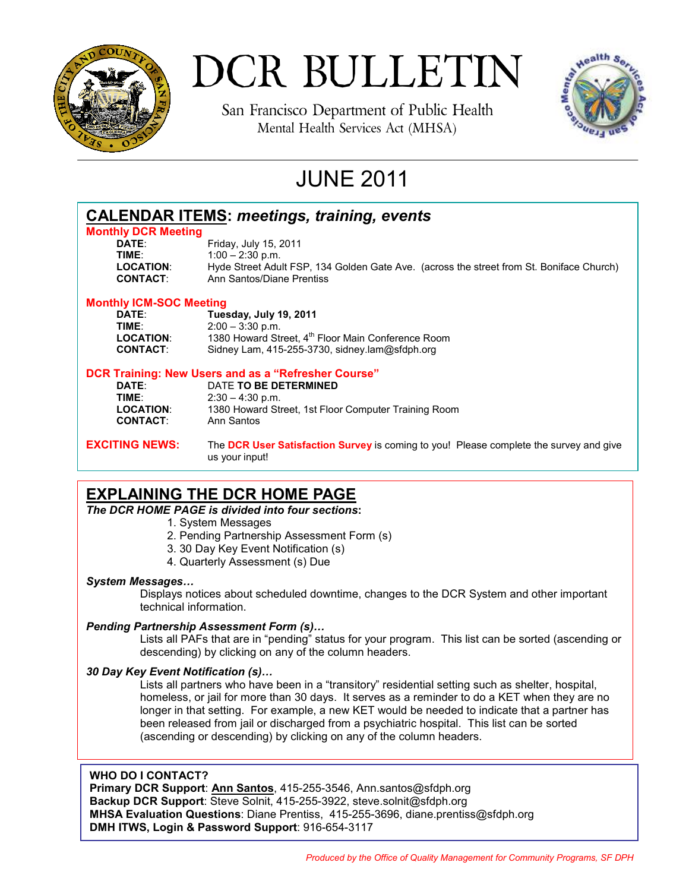

# DCR BULLETIN

San Francisco Department of Public Health Mental Health Services Act (MHSA)



# JUNE 2011

| <b>CALENDAR ITEMS: meetings, training, events</b>   |                                                                                                          |
|-----------------------------------------------------|----------------------------------------------------------------------------------------------------------|
| <b>Monthly DCR Meeting</b>                          |                                                                                                          |
| DATE:                                               | Friday, July 15, 2011                                                                                    |
| TIME:                                               | $1:00 - 2:30$ p.m.                                                                                       |
| <b>LOCATION:</b>                                    | Hyde Street Adult FSP, 134 Golden Gate Ave. (across the street from St. Boniface Church)                 |
| <b>CONTACT:</b>                                     | Ann Santos/Diane Prentiss                                                                                |
| <b>Monthly ICM-SOC Meeting</b>                      |                                                                                                          |
| DATE:                                               | Tuesday, July 19, 2011                                                                                   |
| TIME:                                               | $2:00 - 3:30$ p.m.                                                                                       |
| <b>LOCATION:</b>                                    | 1380 Howard Street, 4 <sup>th</sup> Floor Main Conference Room                                           |
| <b>CONTACT:</b>                                     | Sidney Lam, 415-255-3730, sidney.lam@sfdph.org                                                           |
| DCR Training: New Users and as a "Refresher Course" |                                                                                                          |
| DATE:                                               | DATE TO BE DETERMINED                                                                                    |
| TIME:                                               | $2:30 - 4:30$ p.m.                                                                                       |
| <b>LOCATION:</b>                                    | 1380 Howard Street, 1st Floor Computer Training Room                                                     |
| <b>CONTACT:</b>                                     | Ann Santos                                                                                               |
| <b>EXCITING NEWS:</b>                               | The DCR User Satisfaction Survey is coming to you! Please complete the survey and give<br>us your input! |

### **EXPLAINING THE DCR HOME PAGE**

*The DCR HOME PAGE is divided into four sections***:** 

- 1. System Messages
- 2. Pending Partnership Assessment Form (s)
- 3. 30 Day Key Event Notification (s)
- 4. Quarterly Assessment (s) Due

### *System Messages…*

Displays notices about scheduled downtime, changes to the DCR System and other important technical information.

### *Pending Partnership Assessment Form (s)…*

Lists all PAFs that are in "pending" status for your program. This list can be sorted (ascending or descending) by clicking on any of the column headers.

### *30 Day Key Event Notification (s)…*

 Lists all partners who have been in a "transitory" residential setting such as shelter, hospital, homeless, or jail for more than 30 days. It serves as a reminder to do a KET when they are no longer in that setting. For example, a new KET would be needed to indicate that a partner has been released from jail or discharged from a psychiatric hospital. This list can be sorted (ascending or descending) by clicking on any of the column headers.

### **WHO DO I CONTACT?**

**Primary DCR Support**: **Ann Santos**, 415-255-3546, Ann.santos@sfdph.org **Backup DCR Support**: Steve Solnit, 415-255-3922, steve.solnit@sfdph.org **MHSA Evaluation Questions**: Diane Prentiss, 415-255-3696, diane.prentiss@sfdph.org **DMH ITWS, Login & Password Support**: 916-654-3117